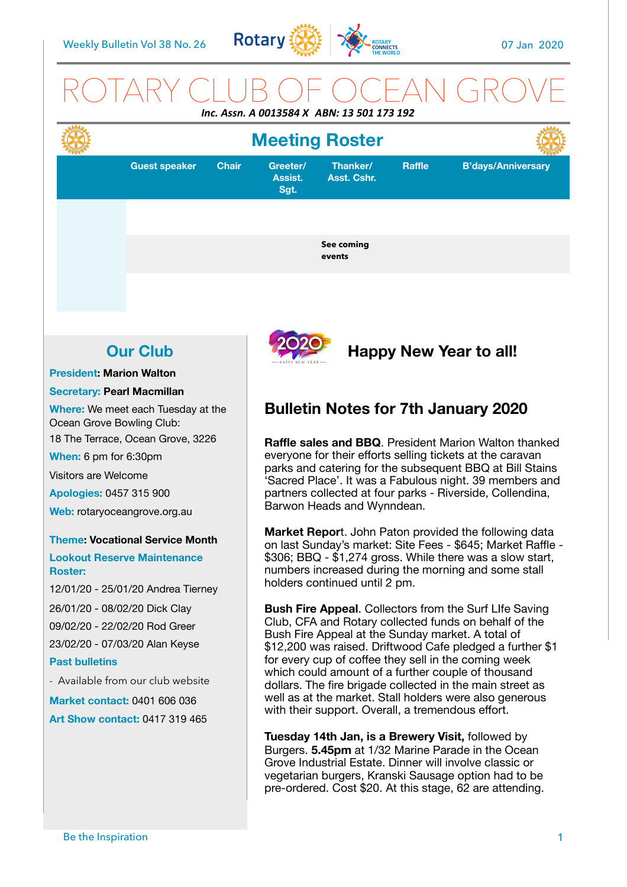

## ROTARY CLUB OF OCEAN GROVE *Inc. Assn. A 0013584 X ABN: 13 501 173 192*

#### **Guest speaker Chair Greeter/ Assist. Sgt. Thanker/ Asst. Cshr. Raffle B'days/Anniversary See coming events Meeting Roster**



**Happy New Year to all!** 

## **Our Club**

#### **President: Marion Walton**

#### **Secretary: Pearl Macmillan**

**Where:** We meet each Tuesday at the Ocean Grove Bowling Club:

18 The Terrace, Ocean Grove, 3226

**When:** 6 pm for 6:30pm

Visitors are Welcome

**Apologies:** 0457 315 900

**Web:** rotaryoceangrove.org.au

#### **Theme: Vocational Service Month Lookout Reserve Maintenance**

## **Roster:**

12/01/20 - 25/01/20 Andrea Tierney

26/01/20 - 08/02/20 Dick Clay

09/02/20 - 22/02/20 Rod Greer

23/02/20 - 07/03/20 Alan Keyse

#### **Past bulletins**

- Available from our club website

**Market contact:** 0401 606 036 **Art Show contact:** 0417 319 465



**Raffle sales and BBQ**. President Marion Walton thanked everyone for their efforts selling tickets at the caravan parks and catering for the subsequent BBQ at Bill Stains 'Sacred Place'. It was a Fabulous night. 39 members and partners collected at four parks - Riverside, Collendina, Barwon Heads and Wynndean.

**Market Repor**t. John Paton provided the following data on last Sunday's market: Site Fees - \$645; Market Raffle - \$306; BBQ - \$1,274 gross. While there was a slow start, numbers increased during the morning and some stall holders continued until 2 pm.

**Bush Fire Appeal**. Collectors from the Surf LIfe Saving Club, CFA and Rotary collected funds on behalf of the Bush Fire Appeal at the Sunday market. A total of \$12,200 was raised. Driftwood Cafe pledged a further \$1 for every cup of coffee they sell in the coming week which could amount of a further couple of thousand dollars. The fire brigade collected in the main street as well as at the market. Stall holders were also generous with their support. Overall, a tremendous effort.

**Tuesday 14th Jan, is a Brewery Visit,** followed by Burgers. **5.45pm** at 1/32 Marine Parade in the Ocean Grove Industrial Estate. Dinner will involve classic or vegetarian burgers, Kranski Sausage option had to be pre-ordered. Cost \$20. At this stage, 62 are attending.